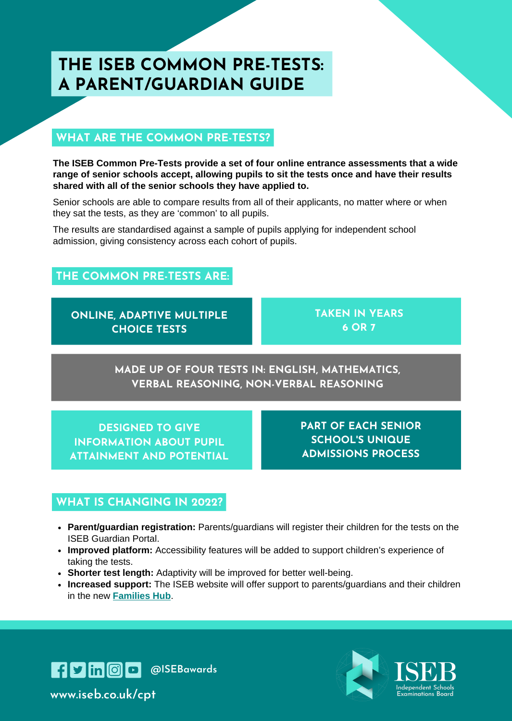# **THE ISEB COMMON PRE-TESTS: A PARENT/GUARDIAN GUIDE**

## **WHAT ARE THE COMMON PRE-TESTS?**

**The ISEB Common Pre-Tests provide a set of four online entrance assessments that a wide range of senior schools accept, allowing pupils to sit the tests once and have their results shared with all of the senior schools they have applied to.**

Senior schools are able to compare results from all of their applicants, no matter where or when they sat the tests, as they are 'common' to all pupils.

The results are standardised against a sample of pupils applying for independent school admission, giving consistency across each cohort of pupils.

## **THE COMMON PRE-TESTS ARE:**

**ONLINE, ADAPTIVE MULTIPLE CHOICE TESTS**

**TAKEN IN YEARS 6 OR 7**

**MADE UP OF FOUR TESTS IN: ENGLISH, MATHEMATICS, VERBAL REASONING, NON-VERBAL REASONING**

**DESIGNED TO GIVE INFORMATION ABOUT PUPIL ATTAINMENT AND POTENTIAL** **PART OF EACH SENIOR SCHOOL'S UNIQUE ADMISSIONS PROCESS**

#### **WHAT IS CHANGING IN 2022?**

- **Parent/guardian registration:** Parents/guardians will register their children for the tests on the ISEB Guardian Portal.
- **Improved platform:** Accessibility features will be added to support children's experience of taking the tests.
- **Shorter test length:** Adaptivity will be improved for better well-being.
- **Increased support:** The ISEB website will offer support to parents/guardians and their children in the new **[Families](https://www.iseb.co.uk/families-hub/) Hub**.